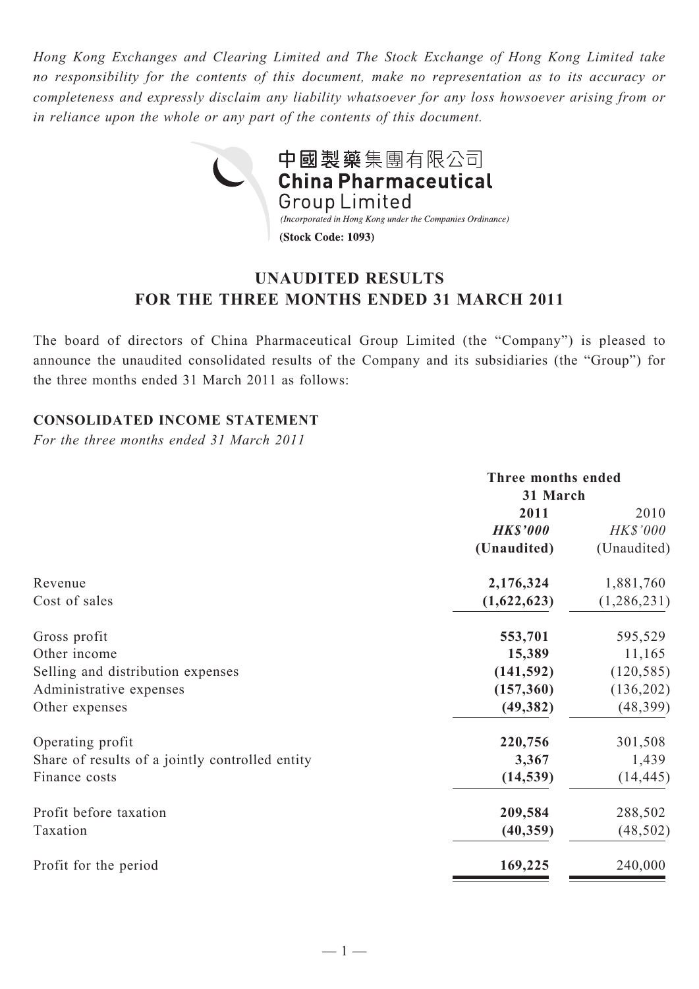*Hong Kong Exchanges and Clearing Limited and The Stock Exchange of Hong Kong Limited take no responsibility for the contents of this document, make no representation as to its accuracy or completeness and expressly disclaim any liability whatsoever for any loss howsoever arising from or in reliance upon the whole or any part of the contents of this document.*



# **UNAUDITED RESULTS FOR THE THREE MONTHS ENDED 31 MARCH 2011**

The board of directors of China Pharmaceutical Group Limited (the "Company") is pleased to announce the unaudited consolidated results of the Company and its subsidiaries (the "Group") for the three months ended 31 March 2011 as follows:

## **CONSOLIDATED INCOME STATEMENT**

*For the three months ended 31 March 2011*

|                                                 | Three months ended<br>31 March |             |  |
|-------------------------------------------------|--------------------------------|-------------|--|
|                                                 |                                |             |  |
|                                                 | 2011                           | 2010        |  |
|                                                 | <b>HK\$'000</b>                | HK\$'000    |  |
|                                                 | (Unaudited)                    | (Unaudited) |  |
| Revenue                                         | 2,176,324                      | 1,881,760   |  |
| Cost of sales                                   | (1,622,623)                    | (1,286,231) |  |
| Gross profit                                    | 553,701                        | 595,529     |  |
| Other income                                    | 15,389                         | 11,165      |  |
| Selling and distribution expenses               | (141, 592)                     | (120, 585)  |  |
| Administrative expenses                         | (157, 360)                     | (136,202)   |  |
| Other expenses                                  | (49, 382)                      | (48, 399)   |  |
| Operating profit                                | 220,756                        | 301,508     |  |
| Share of results of a jointly controlled entity | 3,367                          | 1,439       |  |
| Finance costs                                   | (14, 539)                      | (14, 445)   |  |
| Profit before taxation                          | 209,584                        | 288,502     |  |
| Taxation                                        | (40, 359)                      | (48, 502)   |  |
| Profit for the period                           | 169,225                        | 240,000     |  |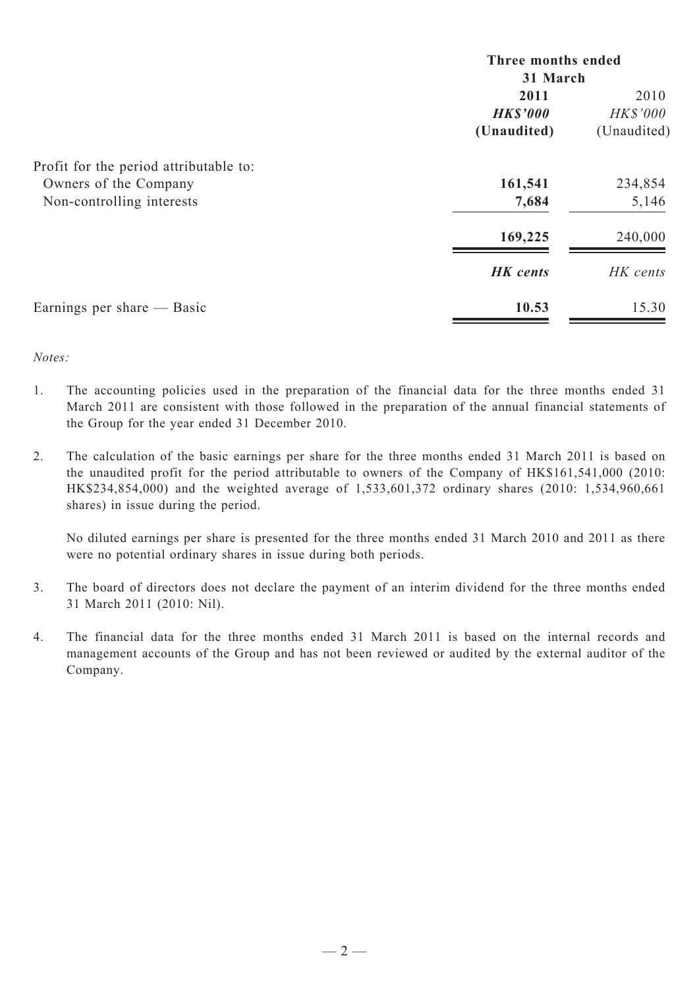|                                        | Three months ended<br>31 March |                 |  |
|----------------------------------------|--------------------------------|-----------------|--|
|                                        |                                |                 |  |
|                                        | 2011                           | 2010            |  |
|                                        | <b>HK\$'000</b>                | <b>HK\$'000</b> |  |
|                                        | (Unaudited)                    | (Unaudited)     |  |
| Profit for the period attributable to: |                                |                 |  |
| Owners of the Company                  | 161,541                        | 234,854         |  |
| Non-controlling interests              | 7,684                          | 5,146           |  |
|                                        | 169,225                        | 240,000         |  |
|                                        | <b>HK</b> cents                | HK cents        |  |
| Earnings per share — Basic             | 10.53                          | 15.30           |  |

*Notes:*

- 1. The accounting policies used in the preparation of the financial data for the three months ended 31 March 2011 are consistent with those followed in the preparation of the annual financial statements of the Group for the year ended 31 December 2010.
- 2. The calculation of the basic earnings per share for the three months ended 31 March 2011 is based on the unaudited profit for the period attributable to owners of the Company of HK\$161,541,000 (2010: HK\$234,854,000) and the weighted average of 1,533,601,372 ordinary shares (2010: 1,534,960,661 shares) in issue during the period.

No diluted earnings per share is presented for the three months ended 31 March 2010 and 2011 as there were no potential ordinary shares in issue during both periods.

- 3. The board of directors does not declare the payment of an interim dividend for the three months ended 31 March 2011 (2010: Nil).
- 4. The financial data for the three months ended 31 March 2011 is based on the internal records and management accounts of the Group and has not been reviewed or audited by the external auditor of the Company.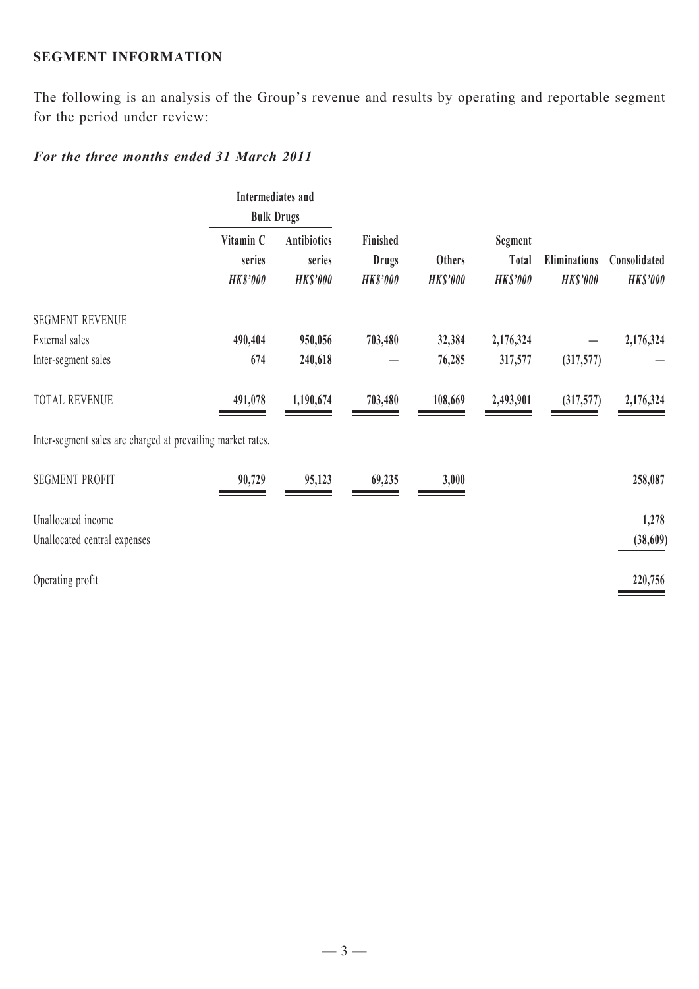### **SEGMENT INFORMATION**

The following is an analysis of the Group's revenue and results by operating and reportable segment for the period under review:

## *For the three months ended 31 March 2011*

|                                                             | Intermediates and<br><b>Bulk Drugs</b> |                                                 |                                             |                           |                                     |                                        |                                 |
|-------------------------------------------------------------|----------------------------------------|-------------------------------------------------|---------------------------------------------|---------------------------|-------------------------------------|----------------------------------------|---------------------------------|
|                                                             | Vitamin C<br>series<br><b>HK\$'000</b> | <b>Antibiotics</b><br>series<br><b>HK\$'000</b> | Finished<br><b>Drugs</b><br><b>HK\$'000</b> | Others<br><b>HK\$'000</b> | Segment<br>Total<br><b>HK\$'000</b> | <b>Eliminations</b><br><b>HK\$'000</b> | Consolidated<br><b>HK\$'000</b> |
| <b>SEGMENT REVENUE</b>                                      |                                        |                                                 |                                             |                           |                                     |                                        |                                 |
| External sales                                              | 490,404                                | 950,056                                         | 703,480                                     | 32,384                    | 2,176,324                           |                                        | 2,176,324                       |
| Inter-segment sales                                         | 674                                    | 240,618                                         |                                             | 76,285                    | 317,577                             | (317,577)                              |                                 |
| <b>TOTAL REVENUE</b>                                        | 491,078                                | 1,190,674                                       | 703,480                                     | 108,669                   | 2,493,901                           | (317,577)                              | 2,176,324                       |
| Inter-segment sales are charged at prevailing market rates. |                                        |                                                 |                                             |                           |                                     |                                        |                                 |
| <b>SEGMENT PROFIT</b>                                       | 90,729                                 | 95,123                                          | 69,235                                      | 3,000                     |                                     |                                        | 258,087                         |
| Unallocated income                                          |                                        |                                                 |                                             |                           |                                     |                                        | 1,278                           |
| Unallocated central expenses                                |                                        |                                                 |                                             |                           |                                     |                                        | (38,609)                        |
| Operating profit                                            |                                        |                                                 |                                             |                           |                                     |                                        | 220,756                         |